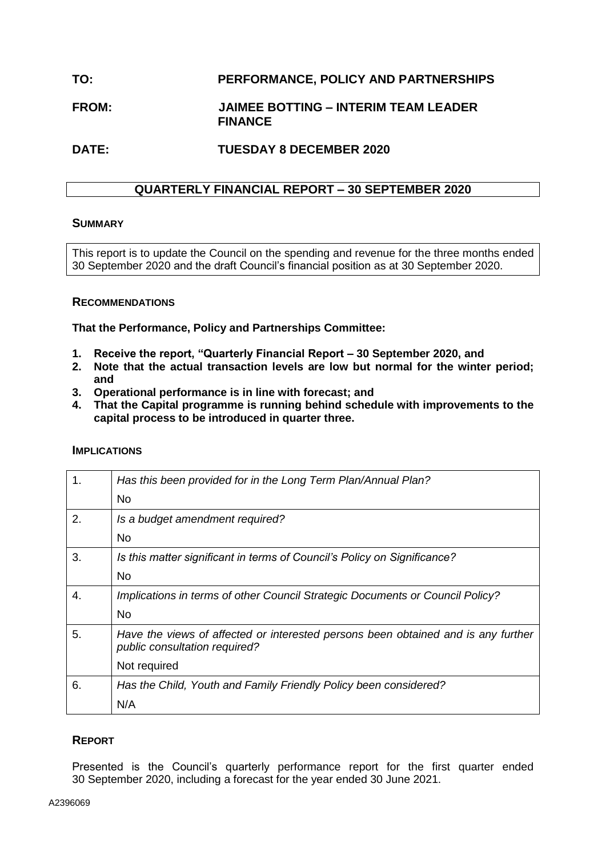# **TO: PERFORMANCE, POLICY AND PARTNERSHIPS**

# **FROM: JAIMEE BOTTING – INTERIM TEAM LEADER FINANCE**

## **DATE: TUESDAY 8 DECEMBER 2020**

## **QUARTERLY FINANCIAL REPORT – 30 SEPTEMBER 2020**

#### **SUMMARY**

This report is to update the Council on the spending and revenue for the three months ended 30 September 2020 and the draft Council's financial position as at 30 September 2020.

#### **RECOMMENDATIONS**

**That the Performance, Policy and Partnerships Committee:**

- **1. Receive the report, "Quarterly Financial Report – 30 September 2020, and**
- **2. Note that the actual transaction levels are low but normal for the winter period; and**
- **3. Operational performance is in line with forecast; and**
- **4. That the Capital programme is running behind schedule with improvements to the capital process to be introduced in quarter three.**

# 1. *Has this been provided for in the Long Term Plan/Annual Plan?* No 2. *Is a budget amendment required?* No 3. *Is this matter significant in terms of Council's Policy on Significance?* No 4. *Implications in terms of other Council Strategic Documents or Council Policy?* No 5. *Have the views of affected or interested persons been obtained and is any further public consultation required?* Not required 6. *Has the Child, Youth and Family Friendly Policy been considered?* N/A **REPORT**

Presented is the Council's quarterly performance report for the first quarter ended 30 September 2020, including a forecast for the year ended 30 June 2021.

#### **IMPLICATIONS**